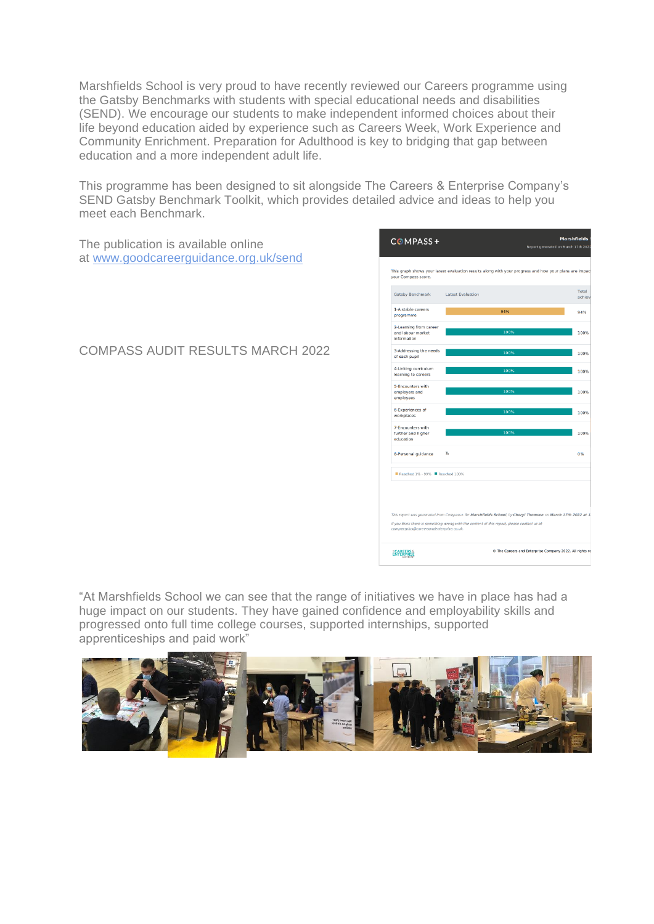Marshfields School is very proud to have recently reviewed our Careers programme using the Gatsby Benchmarks with students with special educational needs and disabilities (SEND). We encourage our students to make independent informed choices about their life beyond education aided by experience such as Careers Week, Work Experience and Community Enrichment. Preparation for Adulthood is key to bridging that gap between education and a more independent adult life.

This programme has been designed to sit alongside The Careers & Enterprise Company's SEND Gatsby Benchmark Toolkit, which provides detailed advice and ideas to help you meet each Benchmark.

The publication is available online at [www.goodcareerguidance.org.uk/send](http://www.goodcareerguidance.org.uk/send) programm COMPASS AUDIT RESULTS MARCH 2022

**Marchfield**  $COMPASS+$ .<br>March 17th : This graph shows your latest evaluation results along with your progress and how your plans are imposure that in the street imposure that we can Total<br>achie Latest Evaluation Gatsby Benchmark 1-A stable careers 94% 2-Learning from caree<br>and labour market<br>information 1009 3-Addressing the needs 100% of each pupi 4-Linking curriculum 100% learning to careers 5-Encounters with<br>employers and<br>employees 6-Experiences of<br>workplaces  $1009$ 7-Encounters with<br>further and higher<br>education 100% 8-Personal guidance 0% Reached 1% - 99% Reached 100% If you think there is something wrong with the content of this report, please contact us at O The Careers and Enterprise Company 2022. All rights re **CAREERS &**<br>ENTERPRISE

"At Marshfields School we can see that the range of initiatives we have in place has had a huge impact on our students. They have gained confidence and employability skills and progressed onto full time college courses, supported internships, supported apprenticeships and paid work"

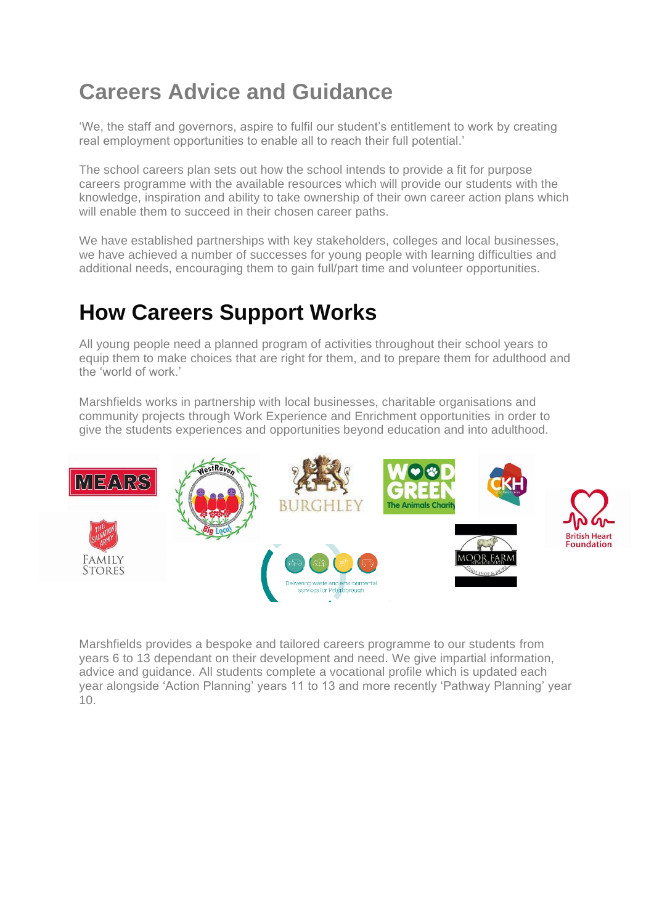## **Careers Advice and Guidance**

'We, the staff and governors, aspire to fulfil our student's entitlement to work by creating real employment opportunities to enable all to reach their full potential.'

The school careers plan sets out how the school intends to provide a fit for purpose careers programme with the available resources which will provide our students with the knowledge, inspiration and ability to take ownership of their own career action plans which will enable them to succeed in their chosen career paths.

We have established partnerships with key stakeholders, colleges and local businesses, we have achieved a number of successes for young people with learning difficulties and additional needs, encouraging them to gain full/part time and volunteer opportunities.

## **How Careers Support Works**

All young people need a planned program of activities throughout their school years to equip them to make choices that are right for them, and to prepare them for adulthood and the 'world of work.'

Marshfields works in partnership with local businesses, charitable organisations and community projects through Work Experience and Enrichment opportunities in order to give the students experiences and opportunities beyond education and into adulthood.



Marshfields provides a bespoke and tailored careers programme to our students from years 6 to 13 dependant on their development and need. We give impartial information, advice and guidance. All students complete a vocational profile which is updated each year alongside 'Action Planning' years 11 to 13 and more recently 'Pathway Planning' year 10.